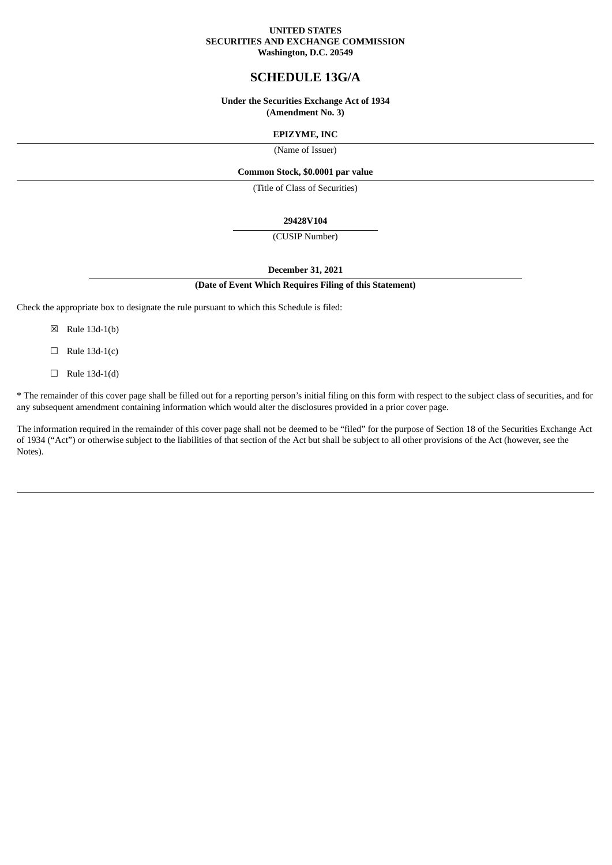#### **UNITED STATES SECURITIES AND EXCHANGE COMMISSION Washington, D.C. 20549**

# **SCHEDULE 13G/A**

## **Under the Securities Exchange Act of 1934 (Amendment No. 3)**

## **EPIZYME, INC**

(Name of Issuer)

## **Common Stock, \$0.0001 par value**

(Title of Class of Securities)

#### **29428V104**

(CUSIP Number)

## **December 31, 2021**

#### **(Date of Event Which Requires Filing of this Statement)**

Check the appropriate box to designate the rule pursuant to which this Schedule is filed:

- ☒ Rule 13d-1(b)
- $\Box$  Rule 13d-1(c)
- $\Box$  Rule 13d-1(d)

\* The remainder of this cover page shall be filled out for a reporting person's initial filing on this form with respect to the subject class of securities, and for any subsequent amendment containing information which would alter the disclosures provided in a prior cover page.

The information required in the remainder of this cover page shall not be deemed to be "filed" for the purpose of Section 18 of the Securities Exchange Act of 1934 ("Act") or otherwise subject to the liabilities of that section of the Act but shall be subject to all other provisions of the Act (however, see the Notes).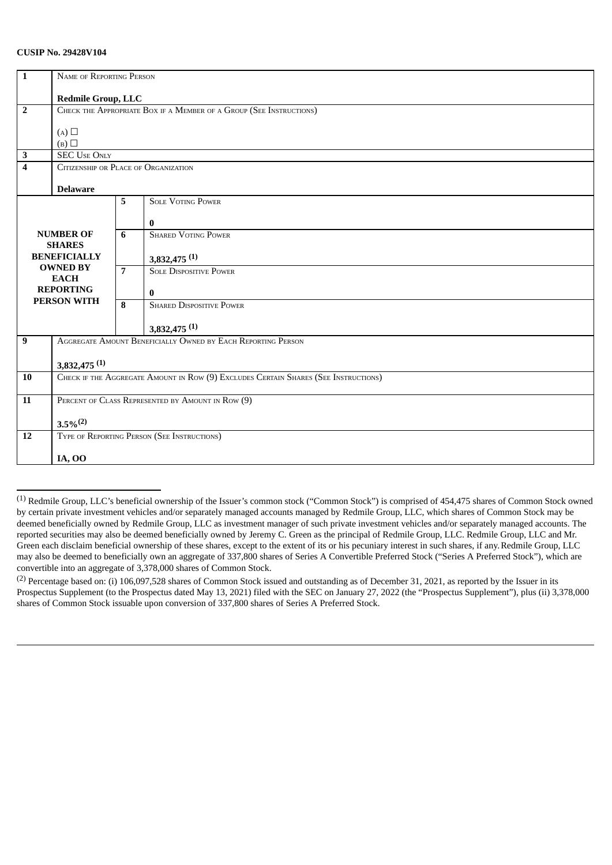## **CUSIP No. 29428V104**

| $\mathbf{1}$            | NAME OF REPORTING PERSON                                                            |                |                                 |  |  |  |
|-------------------------|-------------------------------------------------------------------------------------|----------------|---------------------------------|--|--|--|
|                         |                                                                                     |                |                                 |  |  |  |
|                         | <b>Redmile Group, LLC</b>                                                           |                |                                 |  |  |  |
| $\overline{2}$          | CHECK THE APPROPRIATE BOX IF A MEMBER OF A GROUP (SEE INSTRUCTIONS)                 |                |                                 |  |  |  |
|                         |                                                                                     |                |                                 |  |  |  |
|                         | (A)                                                                                 |                |                                 |  |  |  |
|                         | (B)                                                                                 |                |                                 |  |  |  |
| $\overline{\mathbf{3}}$ | <b>SEC USE ONLY</b>                                                                 |                |                                 |  |  |  |
| $\overline{\mathbf{4}}$ | CITIZENSHIP OR PLACE OF ORGANIZATION                                                |                |                                 |  |  |  |
|                         |                                                                                     |                |                                 |  |  |  |
|                         | <b>Delaware</b>                                                                     |                |                                 |  |  |  |
|                         |                                                                                     | 5              | <b>SOLE VOTING POWER</b>        |  |  |  |
|                         |                                                                                     |                |                                 |  |  |  |
|                         |                                                                                     |                | $\bf{0}$                        |  |  |  |
| <b>NUMBER OF</b>        |                                                                                     | 6              | <b>SHARED VOTING POWER</b>      |  |  |  |
|                         | <b>SHARES</b>                                                                       |                |                                 |  |  |  |
| <b>BENEFICIALLY</b>     |                                                                                     |                |                                 |  |  |  |
|                         |                                                                                     |                | $3,832,475$ <sup>(1)</sup>      |  |  |  |
| <b>OWNED BY</b>         |                                                                                     | $\overline{7}$ | <b>SOLE DISPOSITIVE POWER</b>   |  |  |  |
| <b>EACH</b>             |                                                                                     |                |                                 |  |  |  |
| <b>REPORTING</b>        |                                                                                     |                | $\bf{0}$                        |  |  |  |
| <b>PERSON WITH</b>      |                                                                                     | 8              | <b>SHARED DISPOSITIVE POWER</b> |  |  |  |
|                         |                                                                                     |                |                                 |  |  |  |
|                         |                                                                                     |                | $3,832,475$ <sup>(1)</sup>      |  |  |  |
| $\boldsymbol{9}$        | AGGREGATE AMOUNT BENEFICIALLY OWNED BY EACH REPORTING PERSON                        |                |                                 |  |  |  |
|                         |                                                                                     |                |                                 |  |  |  |
|                         | $3,832,475$ <sup>(1)</sup>                                                          |                |                                 |  |  |  |
| 10                      | CHECK IF THE AGGREGATE AMOUNT IN ROW (9) EXCLUDES CERTAIN SHARES (SEE INSTRUCTIONS) |                |                                 |  |  |  |
|                         |                                                                                     |                |                                 |  |  |  |
| 11                      | PERCENT OF CLASS REPRESENTED BY AMOUNT IN ROW (9)                                   |                |                                 |  |  |  |
|                         |                                                                                     |                |                                 |  |  |  |
|                         | $3.5\%^{(2)}$                                                                       |                |                                 |  |  |  |
| 12                      | TYPE OF REPORTING PERSON (SEE INSTRUCTIONS)                                         |                |                                 |  |  |  |
|                         |                                                                                     |                |                                 |  |  |  |
|                         |                                                                                     |                |                                 |  |  |  |
|                         | <b>IA, OO</b>                                                                       |                |                                 |  |  |  |

<sup>(1)</sup> Redmile Group, LLC's beneficial ownership of the Issuer's common stock ("Common Stock") is comprised of 454,475 shares of Common Stock owned by certain private investment vehicles and/or separately managed accounts managed by Redmile Group, LLC, which shares of Common Stock may be deemed beneficially owned by Redmile Group, LLC as investment manager of such private investment vehicles and/or separately managed accounts. The reported securities may also be deemed beneficially owned by Jeremy C. Green as the principal of Redmile Group, LLC. Redmile Group, LLC and Mr. Green each disclaim beneficial ownership of these shares, except to the extent of its or his pecuniary interest in such shares, if any.Redmile Group, LLC may also be deemed to beneficially own an aggregate of 337,800 shares of Series A Convertible Preferred Stock ("Series A Preferred Stock"), which are convertible into an aggregate of 3,378,000 shares of Common Stock.

(2) Percentage based on: (i) 106,097,528 shares of Common Stock issued and outstanding as of December 31, 2021, as reported by the Issuer in its Prospectus Supplement (to the Prospectus dated May 13, 2021) filed with the SEC on January 27, 2022 (the "Prospectus Supplement"), plus (ii) 3,378,000 shares of Common Stock issuable upon conversion of 337,800 shares of Series A Preferred Stock.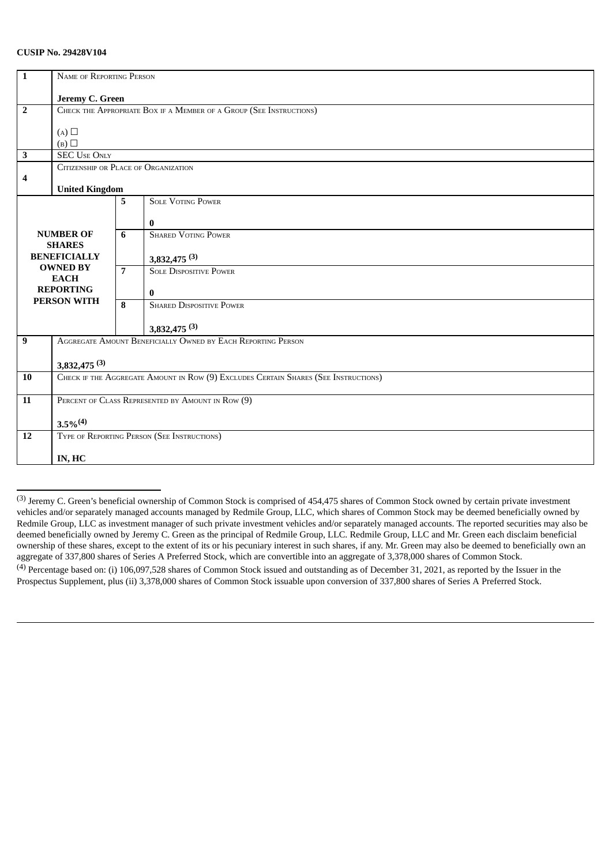## **CUSIP No. 29428V104**

| NAME OF REPORTING PERSON<br>$\mathbf{1}$<br>Jeremy C. Green<br>CHECK THE APPROPRIATE BOX IF A MEMBER OF A GROUP (SEE INSTRUCTIONS)<br>$\overline{2}$<br>(A) |  |  |  |  |
|-------------------------------------------------------------------------------------------------------------------------------------------------------------|--|--|--|--|
|                                                                                                                                                             |  |  |  |  |
|                                                                                                                                                             |  |  |  |  |
|                                                                                                                                                             |  |  |  |  |
|                                                                                                                                                             |  |  |  |  |
|                                                                                                                                                             |  |  |  |  |
|                                                                                                                                                             |  |  |  |  |
| (B)                                                                                                                                                         |  |  |  |  |
| $\overline{\mathbf{3}}$<br><b>SEC USE ONLY</b>                                                                                                              |  |  |  |  |
| CITIZENSHIP OR PLACE OF ORGANIZATION                                                                                                                        |  |  |  |  |
| 4                                                                                                                                                           |  |  |  |  |
| <b>United Kingdom</b>                                                                                                                                       |  |  |  |  |
| <b>SOLE VOTING POWER</b><br>5 <sup>5</sup>                                                                                                                  |  |  |  |  |
|                                                                                                                                                             |  |  |  |  |
| $\bf{0}$                                                                                                                                                    |  |  |  |  |
| <b>SHARED VOTING POWER</b><br><b>NUMBER OF</b><br>6                                                                                                         |  |  |  |  |
| <b>SHARES</b>                                                                                                                                               |  |  |  |  |
| <b>BENEFICIALLY</b><br>$3,832,475$ <sup>(3)</sup>                                                                                                           |  |  |  |  |
| <b>OWNED BY</b><br>$\overline{7}$<br><b>SOLE DISPOSITIVE POWER</b>                                                                                          |  |  |  |  |
| <b>EACH</b>                                                                                                                                                 |  |  |  |  |
| <b>REPORTING</b><br>$\bf{0}$                                                                                                                                |  |  |  |  |
| <b>PERSON WITH</b><br><b>SHARED DISPOSITIVE POWER</b><br>8                                                                                                  |  |  |  |  |
|                                                                                                                                                             |  |  |  |  |
| $3,832,475$ <sup>(3)</sup>                                                                                                                                  |  |  |  |  |
| AGGREGATE AMOUNT BENEFICIALLY OWNED BY EACH REPORTING PERSON<br>$\boldsymbol{9}$                                                                            |  |  |  |  |
|                                                                                                                                                             |  |  |  |  |
| $3,832,475$ <sup>(3)</sup>                                                                                                                                  |  |  |  |  |
| CHECK IF THE AGGREGATE AMOUNT IN ROW (9) EXCLUDES CERTAIN SHARES (SEE INSTRUCTIONS)<br>10                                                                   |  |  |  |  |
|                                                                                                                                                             |  |  |  |  |
| PERCENT OF CLASS REPRESENTED BY AMOUNT IN ROW (9)<br>11                                                                                                     |  |  |  |  |
|                                                                                                                                                             |  |  |  |  |
| $3.5\%$ <sup>(4)</sup>                                                                                                                                      |  |  |  |  |
| TYPE OF REPORTING PERSON (SEE INSTRUCTIONS)<br>12                                                                                                           |  |  |  |  |
|                                                                                                                                                             |  |  |  |  |
| IN, HC                                                                                                                                                      |  |  |  |  |

<sup>(3)</sup> Jeremy C. Green's beneficial ownership of Common Stock is comprised of 454,475 shares of Common Stock owned by certain private investment vehicles and/or separately managed accounts managed by Redmile Group, LLC, which shares of Common Stock may be deemed beneficially owned by Redmile Group, LLC as investment manager of such private investment vehicles and/or separately managed accounts. The reported securities may also be deemed beneficially owned by Jeremy C. Green as the principal of Redmile Group, LLC. Redmile Group, LLC and Mr. Green each disclaim beneficial ownership of these shares, except to the extent of its or his pecuniary interest in such shares, if any. Mr. Green may also be deemed to beneficially own an aggregate of 337,800 shares of Series A Preferred Stock, which are convertible into an aggregate of 3,378,000 shares of Common Stock.

(4) Percentage based on: (i) 106,097,528 shares of Common Stock issued and outstanding as of December 31, 2021, as reported by the Issuer in the Prospectus Supplement, plus (ii) 3,378,000 shares of Common Stock issuable upon conversion of 337,800 shares of Series A Preferred Stock.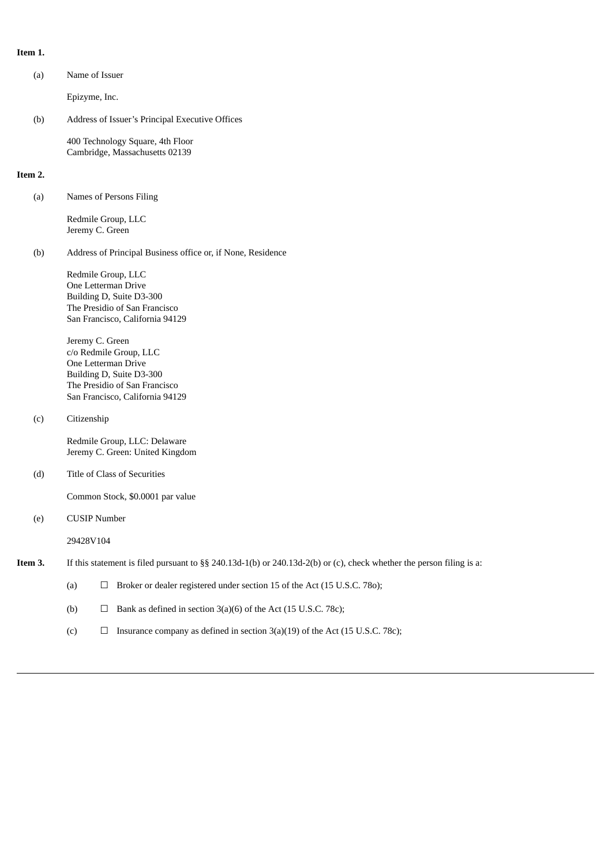## **Item 1.**

| (a)     | Name of Issuer                                                                                                                                                   |  |  |  |  |
|---------|------------------------------------------------------------------------------------------------------------------------------------------------------------------|--|--|--|--|
|         | Epizyme, Inc.                                                                                                                                                    |  |  |  |  |
| (b)     | Address of Issuer's Principal Executive Offices                                                                                                                  |  |  |  |  |
|         | 400 Technology Square, 4th Floor<br>Cambridge, Massachusetts 02139                                                                                               |  |  |  |  |
| Item 2. |                                                                                                                                                                  |  |  |  |  |
| (a)     | Names of Persons Filing                                                                                                                                          |  |  |  |  |
|         | Redmile Group, LLC<br>Jeremy C. Green                                                                                                                            |  |  |  |  |
| (b)     | Address of Principal Business office or, if None, Residence                                                                                                      |  |  |  |  |
|         | Redmile Group, LLC<br>One Letterman Drive<br>Building D, Suite D3-300<br>The Presidio of San Francisco<br>San Francisco, California 94129                        |  |  |  |  |
|         | Jeremy C. Green<br>c/o Redmile Group, LLC<br>One Letterman Drive<br>Building D, Suite D3-300<br>The Presidio of San Francisco<br>San Francisco, California 94129 |  |  |  |  |
| (c)     | Citizenship                                                                                                                                                      |  |  |  |  |
|         | Redmile Group, LLC: Delaware<br>Jeremy C. Green: United Kingdom                                                                                                  |  |  |  |  |
| (d)     | Title of Class of Securities                                                                                                                                     |  |  |  |  |
|         | Common Stock, \$0.0001 par value                                                                                                                                 |  |  |  |  |
| (e)     | <b>CUSIP Number</b>                                                                                                                                              |  |  |  |  |
|         | 29428V104                                                                                                                                                        |  |  |  |  |
| Item 3. | If this statement is filed pursuant to §§ 240.13d-1(b) or 240.13d-2(b) or (c), check whether the person filing is a:                                             |  |  |  |  |
|         | (a)<br>Broker or dealer registered under section 15 of the Act (15 U.S.C. 780);<br>$\Box$                                                                        |  |  |  |  |
|         | Bank as defined in section 3(a)(6) of the Act (15 U.S.C. 78c);<br>(b)<br>$\Box$                                                                                  |  |  |  |  |
|         | Insurance company as defined in section 3(a)(19) of the Act (15 U.S.C. 78c);<br>(c)<br>□                                                                         |  |  |  |  |
|         |                                                                                                                                                                  |  |  |  |  |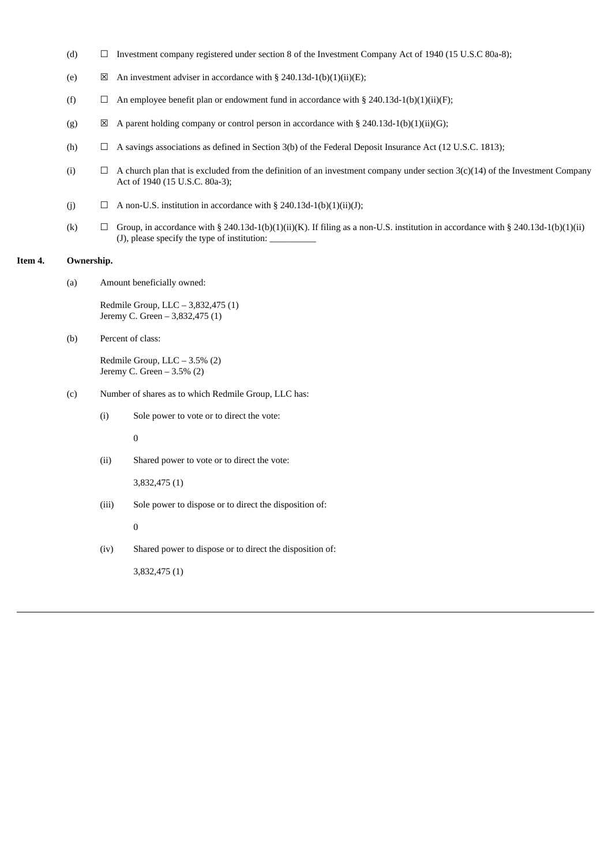- (d) ☐ Investment company registered under section 8 of the Investment Company Act of 1940 (15 U.S.C 80a-8);
- (e)  $\boxtimes$  An investment adviser in accordance with § 240.13d-1(b)(1)(ii)(E);
- (f)  $\Box$  An employee benefit plan or endowment fund in accordance with § 240.13d-1(b)(1)(ii)(F);
- (g)  $\boxtimes$  A parent holding company or control person in accordance with § 240.13d-1(b)(1)(ii)(G);
- (h)  $\Box$  A savings associations as defined in Section 3(b) of the Federal Deposit Insurance Act (12 U.S.C. 1813);
- (i)  $\Box$  A church plan that is excluded from the definition of an investment company under section  $3(c)(14)$  of the Investment Company Act of 1940 (15 U.S.C. 80a-3);
- (j)  $\Box$  A non-U.S. institution in accordance with § 240.13d-1(b)(1)(ii)(J);
- (k)  $\Box$  Group, in accordance with § 240.13d-1(b)(1)(ii)(K). If filing as a non-U.S. institution in accordance with § 240.13d-1(b)(1)(ii) (J), please specify the type of institution:  $\overline{\phantom{a}}$

## **Item 4. Ownership.**

(a) Amount beneficially owned:

Redmile Group, LLC – 3,832,475 (1) Jeremy C. Green – 3,832,475 (1)

(b) Percent of class:

Redmile Group, LLC – 3.5% (2) Jeremy C. Green – 3.5% (2)

- (c) Number of shares as to which Redmile Group, LLC has:
	- (i) Sole power to vote or to direct the vote:

0

(ii) Shared power to vote or to direct the vote:

3,832,475 (1)

(iii) Sole power to dispose or to direct the disposition of:

0

(iv) Shared power to dispose or to direct the disposition of:

3,832,475 (1)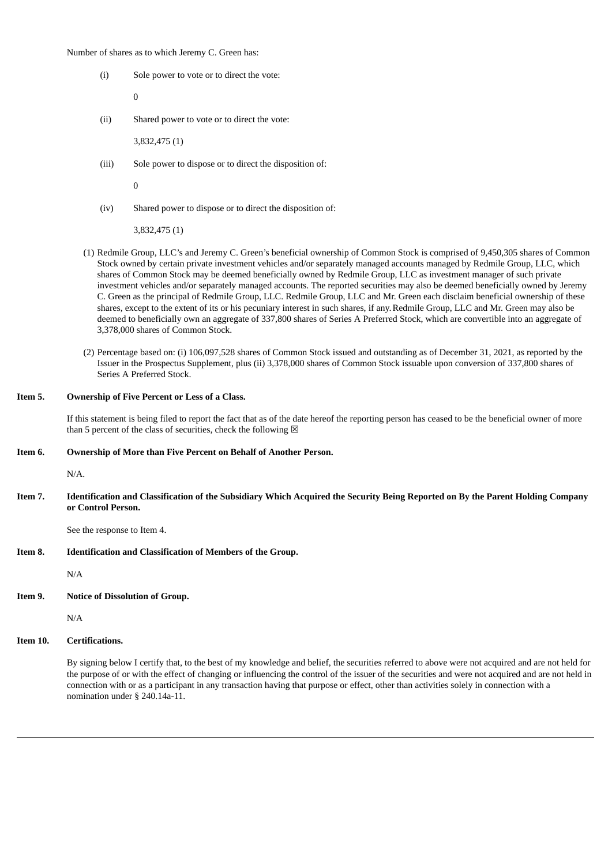Number of shares as to which Jeremy C. Green has:

(i) Sole power to vote or to direct the vote:

0

(ii) Shared power to vote or to direct the vote:

3,832,475 (1)

(iii) Sole power to dispose or to direct the disposition of:

 $\Omega$ 

(iv) Shared power to dispose or to direct the disposition of:

3,832,475 (1)

- (1) Redmile Group, LLC's and Jeremy C. Green's beneficial ownership of Common Stock is comprised of 9,450,305 shares of Common Stock owned by certain private investment vehicles and/or separately managed accounts managed by Redmile Group, LLC, which shares of Common Stock may be deemed beneficially owned by Redmile Group, LLC as investment manager of such private investment vehicles and/or separately managed accounts. The reported securities may also be deemed beneficially owned by Jeremy C. Green as the principal of Redmile Group, LLC. Redmile Group, LLC and Mr. Green each disclaim beneficial ownership of these shares, except to the extent of its or his pecuniary interest in such shares, if any.Redmile Group, LLC and Mr. Green may also be deemed to beneficially own an aggregate of 337,800 shares of Series A Preferred Stock, which are convertible into an aggregate of 3,378,000 shares of Common Stock.
- (2) Percentage based on: (i) 106,097,528 shares of Common Stock issued and outstanding as of December 31, 2021, as reported by the Issuer in the Prospectus Supplement, plus (ii) 3,378,000 shares of Common Stock issuable upon conversion of 337,800 shares of Series A Preferred Stock.

#### **Item 5. Ownership of Five Percent or Less of a Class.**

If this statement is being filed to report the fact that as of the date hereof the reporting person has ceased to be the beneficial owner of more than 5 percent of the class of securities, check the following  $\boxtimes$ 

#### **Item 6. Ownership of More than Five Percent on Behalf of Another Person.**

N/A.

Item 7. Identification and Classification of the Subsidiary Which Acquired the Security Being Reported on By the Parent Holding Company **or Control Person.**

See the response to Item 4.

**Item 8. Identification and Classification of Members of the Group.**

N/A

**Item 9. Notice of Dissolution of Group.**

N/A

**Item 10. Certifications.**

By signing below I certify that, to the best of my knowledge and belief, the securities referred to above were not acquired and are not held for the purpose of or with the effect of changing or influencing the control of the issuer of the securities and were not acquired and are not held in connection with or as a participant in any transaction having that purpose or effect, other than activities solely in connection with a nomination under § 240.14a-11.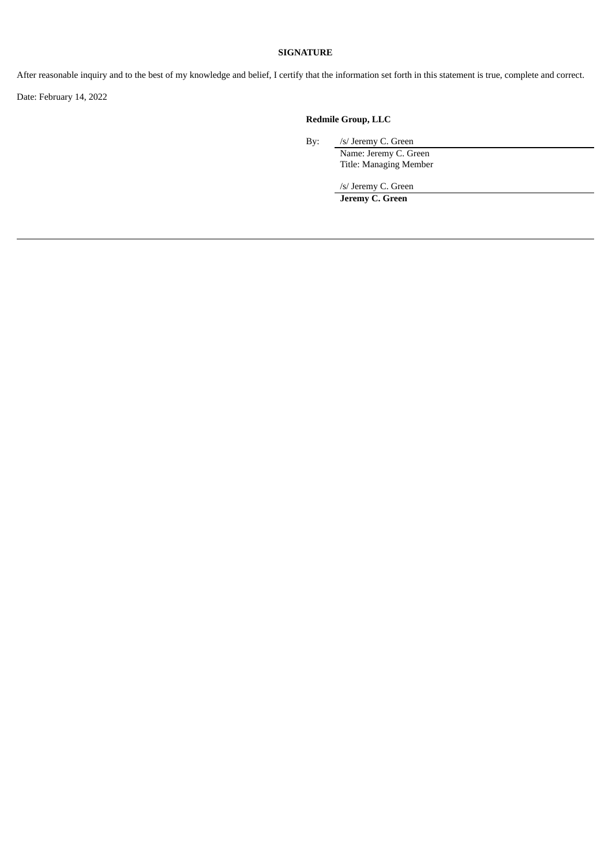## **SIGNATURE**

After reasonable inquiry and to the best of my knowledge and belief, I certify that the information set forth in this statement is true, complete and correct.

Date: February 14, 2022

## **Redmile Group, LLC**

By: /s/ Jeremy C. Green

Name: Jeremy C. Green Title: Managing Member

/s/ Jeremy C. Green

**Jeremy C. Green**